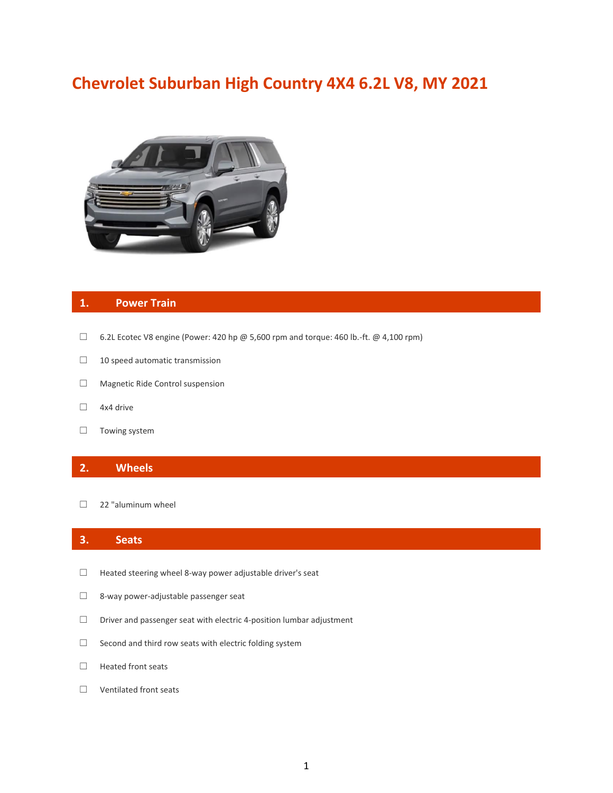# **Chevrolet Suburban High Country 4X4 6.2L V8, MY 2021**



## **1. Power Train**

- $\Box$  6.2L Ecotec V8 engine (Power: 420 hp @ 5,600 rpm and torque: 460 lb.-ft. @ 4,100 rpm)
- □ 10 speed automatic transmission
- ☐ Magnetic Ride Control suspension
- ☐ 4x4 drive
- □ Towing system

## **2. Wheels**

□ 22 "aluminum wheel

## **3. Seats**

- ☐ Heated steering wheel 8-way power adjustable driver's seat
- ☐ 8-way power-adjustable passenger seat
- ☐ Driver and passenger seat with electric 4-position lumbar adjustment
- ☐ Second and third row seats with electric folding system
- ☐ Heated front seats
- ☐ Ventilated front seats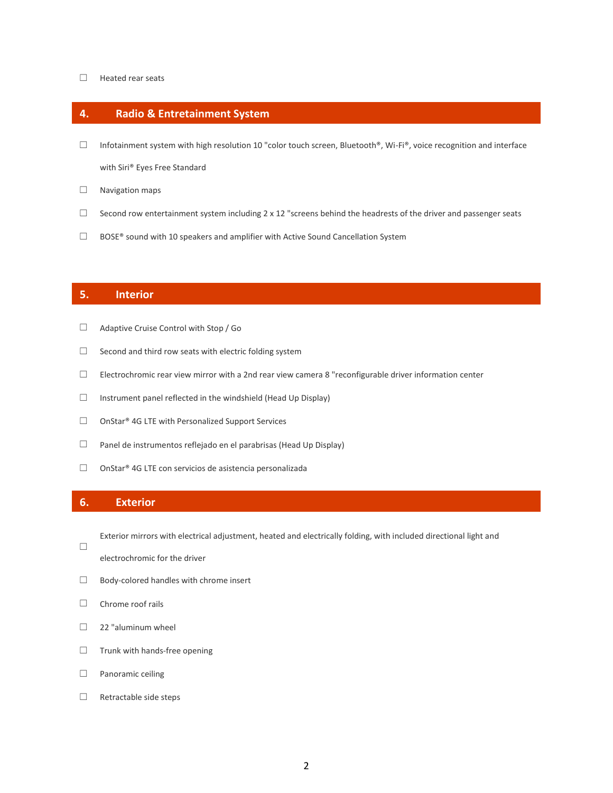#### ☐ Heated rear seats

## **4. Radio & Entretainment System**

□ Infotainment system with high resolution 10 "color touch screen, Bluetooth®, Wi-Fi®, voice recognition and interface

with Siri® Eyes Free Standard

- □ Navigation maps
- □ Second row entertainment system including  $2 \times 12$  "screens behind the headrests of the driver and passenger seats
- ☐ BOSE® sound with 10 speakers and amplifier with Active Sound Cancellation System

### **5. Interior**

- ☐ Adaptive Cruise Control with Stop / Go
- □ Second and third row seats with electric folding system
- ☐ Electrochromic rear view mirror with a 2nd rear view camera 8 "reconfigurable driver information center
- ☐ Instrument panel reflected in the windshield (Head Up Display)
- ☐ OnStar® 4G LTE with Personalized Support Services
- ☐ Panel de instrumentos reflejado en el parabrisas (Head Up Display)
- ☐ OnStar® 4G LTE con servicios de asistencia personalizada

## **6. Exterior**

☐

Exterior mirrors with electrical adjustment, heated and electrically folding, with included directional light and

- electrochromic for the driver
- ☐ Body-colored handles with chrome insert
- ☐ Chrome roof rails
- $\Box$  22 "aluminum wheel
- ☐ Trunk with hands-free opening
- ☐ Panoramic ceiling
- ☐ Retractable side steps